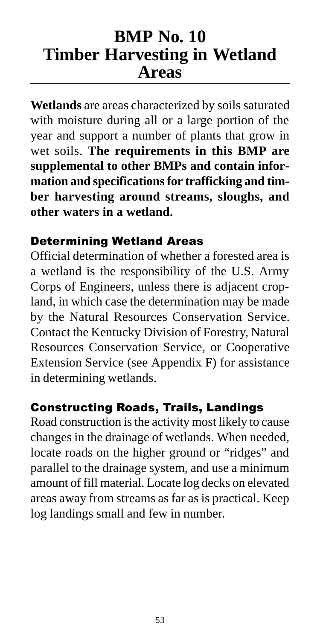# **BMP No. 10 Timber Harvesting in Wetland Areas**

**Wetlands** are areas characterized by soils saturated with moisture during all or a large portion of the year and support a number of plants that grow in wet soils. **The requirements in this BMP are supplemental to other BMPs and contain information and specifications for trafficking and timber harvesting around streams, sloughs, and other waters in a wetland.**

#### Determining Wetland Areas

Official determination of whether a forested area is a wetland is the responsibility of the U.S. Army Corps of Engineers, unless there is adjacent cropland, in which case the determination may be made by the Natural Resources Conservation Service. Contact the Kentucky Division of Forestry, Natural Resources Conservation Service, or Cooperative Extension Service (see Appendix F) for assistance in determining wetlands.

#### Constructing Roads, Trails, Landings

Road construction is the activity most likely to cause changes in the drainage of wetlands. When needed, locate roads on the higher ground or "ridges" and parallel to the drainage system, and use a minimum amount of fill material. Locate log decks on elevated areas away from streams as far as is practical. Keep log landings small and few in number.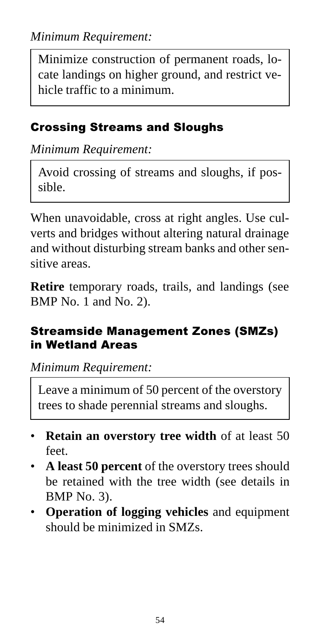Minimize construction of permanent roads, locate landings on higher ground, and restrict vehicle traffic to a minimum.

### Crossing Streams and Sloughs

*Minimum Requirement:*

Avoid crossing of streams and sloughs, if possible.

When unavoidable, cross at right angles. Use culverts and bridges without altering natural drainage and without disturbing stream banks and other sensitive areas.

**Retire** temporary roads, trails, and landings (see BMP No. 1 and No. 2).

#### Streamside Management Zones (SMZs) in Wetland Areas

*Minimum Requirement:*

Leave a minimum of 50 percent of the overstory trees to shade perennial streams and sloughs.

- **Retain an overstory tree width** of at least 50 feet.
- **A least 50 percent** of the overstory trees should be retained with the tree width (see details in BMP No. 3).
- **Operation of logging vehicles** and equipment should be minimized in SMZs.